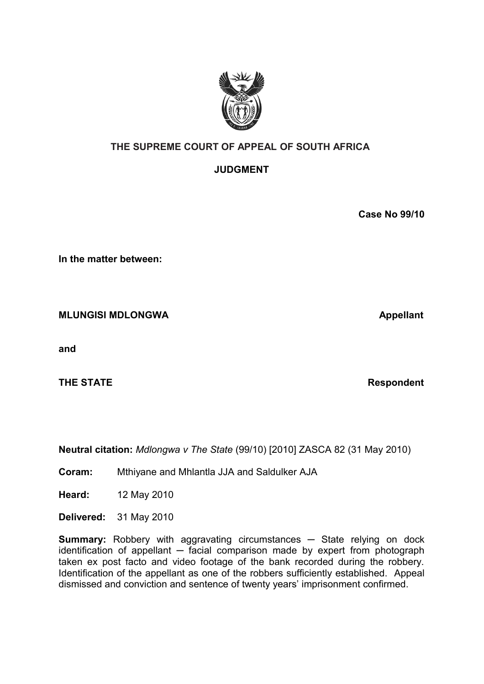

# **THE SUPREME COURT OF APPEAL OF SOUTH AFRICA**

# **JUDGMENT**

**Case No 99/10**

**In the matter between:**

**MLUNGISI MDLONGWA** Appellant

**and** 

**THE STATE Respondent** 

**Neutral citation:** *Mdlongwa v The State* (99/10) [2010] ZASCA 82 (31 May 2010)

**Coram:** Mthiyane and Mhlantla JJA and Saldulker AJA

**Heard:** 12 May 2010

**Delivered:** 31 May 2010

**Summary:** Robbery with aggravating circumstances **─** State relying on dock identification of appellant **─** facial comparison made by expert from photograph taken ex post facto and video footage of the bank recorded during the robbery. Identification of the appellant as one of the robbers sufficiently established. Appeal dismissed and conviction and sentence of twenty years' imprisonment confirmed.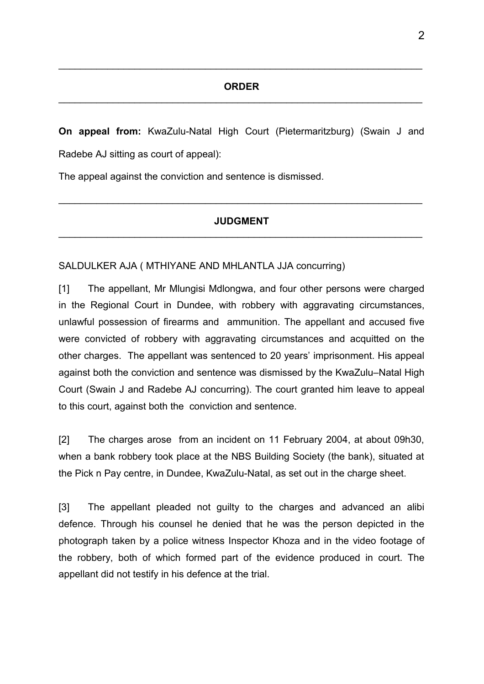#### **ORDER**  $\mathcal{L}_\text{max} = \mathcal{L}_\text{max} = \mathcal{L}_\text{max} = \mathcal{L}_\text{max} = \mathcal{L}_\text{max} = \mathcal{L}_\text{max} = \mathcal{L}_\text{max} = \mathcal{L}_\text{max} = \mathcal{L}_\text{max} = \mathcal{L}_\text{max} = \mathcal{L}_\text{max} = \mathcal{L}_\text{max} = \mathcal{L}_\text{max} = \mathcal{L}_\text{max} = \mathcal{L}_\text{max} = \mathcal{L}_\text{max} = \mathcal{L}_\text{max} = \mathcal{L}_\text{max} = \mathcal{$

 $\mathcal{L}_\mathcal{L} = \mathcal{L}_\mathcal{L} = \mathcal{L}_\mathcal{L} = \mathcal{L}_\mathcal{L} = \mathcal{L}_\mathcal{L} = \mathcal{L}_\mathcal{L} = \mathcal{L}_\mathcal{L} = \mathcal{L}_\mathcal{L} = \mathcal{L}_\mathcal{L} = \mathcal{L}_\mathcal{L} = \mathcal{L}_\mathcal{L} = \mathcal{L}_\mathcal{L} = \mathcal{L}_\mathcal{L} = \mathcal{L}_\mathcal{L} = \mathcal{L}_\mathcal{L} = \mathcal{L}_\mathcal{L} = \mathcal{L}_\mathcal{L}$ 

**On appeal from:** KwaZulu-Natal High Court (Pietermaritzburg) (Swain J and Radebe AJ sitting as court of appeal):

The appeal against the conviction and sentence is dismissed.

### **JUDGMENT**  $\mathcal{L}_\mathcal{L} = \mathcal{L}_\mathcal{L} = \mathcal{L}_\mathcal{L} = \mathcal{L}_\mathcal{L} = \mathcal{L}_\mathcal{L} = \mathcal{L}_\mathcal{L} = \mathcal{L}_\mathcal{L} = \mathcal{L}_\mathcal{L} = \mathcal{L}_\mathcal{L} = \mathcal{L}_\mathcal{L} = \mathcal{L}_\mathcal{L} = \mathcal{L}_\mathcal{L} = \mathcal{L}_\mathcal{L} = \mathcal{L}_\mathcal{L} = \mathcal{L}_\mathcal{L} = \mathcal{L}_\mathcal{L} = \mathcal{L}_\mathcal{L}$

 $\mathcal{L}_\text{max} = \mathcal{L}_\text{max} = \mathcal{L}_\text{max} = \mathcal{L}_\text{max} = \mathcal{L}_\text{max} = \mathcal{L}_\text{max} = \mathcal{L}_\text{max} = \mathcal{L}_\text{max} = \mathcal{L}_\text{max} = \mathcal{L}_\text{max} = \mathcal{L}_\text{max} = \mathcal{L}_\text{max} = \mathcal{L}_\text{max} = \mathcal{L}_\text{max} = \mathcal{L}_\text{max} = \mathcal{L}_\text{max} = \mathcal{L}_\text{max} = \mathcal{L}_\text{max} = \mathcal{$ 

### SALDULKER AJA ( MTHIYANE AND MHLANTLA JJA concurring)

[1] The appellant, Mr Mlungisi Mdlongwa, and four other persons were charged in the Regional Court in Dundee, with robbery with aggravating circumstances, unlawful possession of firearms and ammunition. The appellant and accused five were convicted of robbery with aggravating circumstances and acquitted on the other charges. The appellant was sentenced to 20 years' imprisonment. His appeal against both the conviction and sentence was dismissed by the KwaZulu–Natal High Court (Swain J and Radebe AJ concurring). The court granted him leave to appeal to this court, against both the conviction and sentence.

[2] The charges arose from an incident on 11 February 2004, at about 09h30, when a bank robbery took place at the NBS Building Society (the bank), situated at the Pick n Pay centre, in Dundee, KwaZulu-Natal, as set out in the charge sheet.

[3] The appellant pleaded not guilty to the charges and advanced an alibi defence. Through his counsel he denied that he was the person depicted in the photograph taken by a police witness Inspector Khoza and in the video footage of the robbery, both of which formed part of the evidence produced in court. The appellant did not testify in his defence at the trial.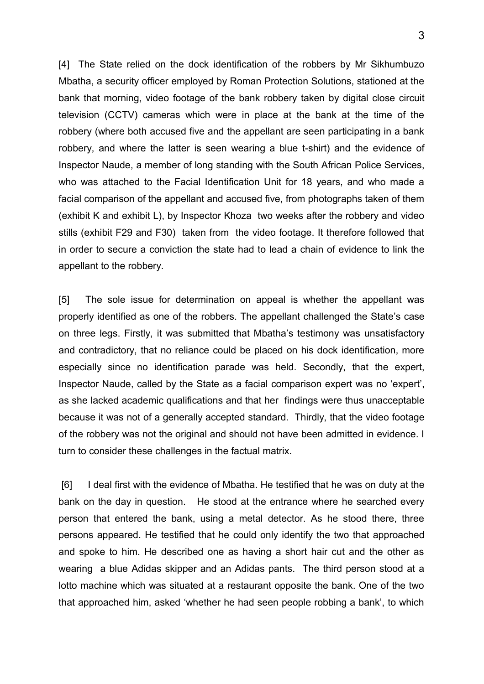[4] The State relied on the dock identification of the robbers by Mr Sikhumbuzo Mbatha, a security officer employed by Roman Protection Solutions, stationed at the bank that morning, video footage of the bank robbery taken by digital close circuit television (CCTV) cameras which were in place at the bank at the time of the robbery (where both accused five and the appellant are seen participating in a bank robbery, and where the latter is seen wearing a blue t-shirt) and the evidence of Inspector Naude, a member of long standing with the South African Police Services, who was attached to the Facial Identification Unit for 18 years, and who made a facial comparison of the appellant and accused five, from photographs taken of them (exhibit K and exhibit L), by Inspector Khoza two weeks after the robbery and video stills (exhibit F29 and F30) taken from the video footage. It therefore followed that in order to secure a conviction the state had to lead a chain of evidence to link the appellant to the robbery.

[5] The sole issue for determination on appeal is whether the appellant was properly identified as one of the robbers. The appellant challenged the State's case on three legs. Firstly, it was submitted that Mbatha's testimony was unsatisfactory and contradictory, that no reliance could be placed on his dock identification, more especially since no identification parade was held. Secondly, that the expert, Inspector Naude, called by the State as a facial comparison expert was no 'expert', as she lacked academic qualifications and that her findings were thus unacceptable because it was not of a generally accepted standard. Thirdly, that the video footage of the robbery was not the original and should not have been admitted in evidence. I turn to consider these challenges in the factual matrix.

[6] I deal first with the evidence of Mbatha. He testified that he was on duty at the bank on the day in question. He stood at the entrance where he searched every person that entered the bank, using a metal detector. As he stood there, three persons appeared. He testified that he could only identify the two that approached and spoke to him. He described one as having a short hair cut and the other as wearing a blue Adidas skipper and an Adidas pants. The third person stood at a lotto machine which was situated at a restaurant opposite the bank. One of the two that approached him, asked 'whether he had seen people robbing a bank', to which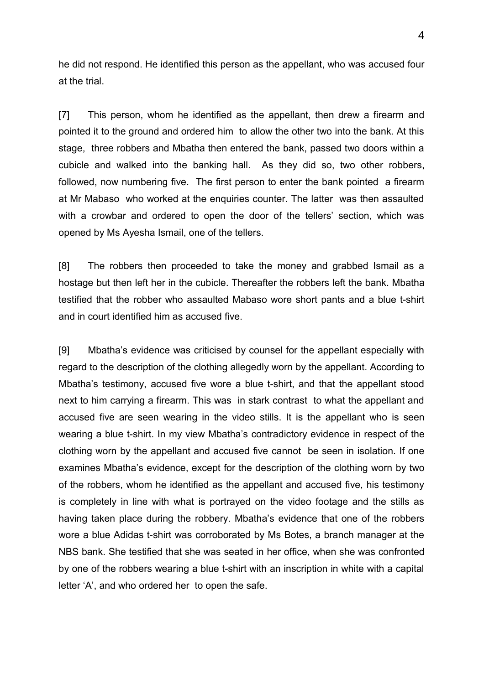he did not respond. He identified this person as the appellant, who was accused four at the trial.

[7] This person, whom he identified as the appellant, then drew a firearm and pointed it to the ground and ordered him to allow the other two into the bank. At this stage, three robbers and Mbatha then entered the bank, passed two doors within a cubicle and walked into the banking hall. As they did so, two other robbers, followed, now numbering five. The first person to enter the bank pointed a firearm at Mr Mabaso who worked at the enquiries counter. The latter was then assaulted with a crowbar and ordered to open the door of the tellers' section, which was opened by Ms Ayesha Ismail, one of the tellers.

[8] The robbers then proceeded to take the money and grabbed Ismail as a hostage but then left her in the cubicle. Thereafter the robbers left the bank. Mbatha testified that the robber who assaulted Mabaso wore short pants and a blue t-shirt and in court identified him as accused five.

[9] Mbatha's evidence was criticised by counsel for the appellant especially with regard to the description of the clothing allegedly worn by the appellant. According to Mbatha's testimony, accused five wore a blue t-shirt, and that the appellant stood next to him carrying a firearm. This was in stark contrast to what the appellant and accused five are seen wearing in the video stills. It is the appellant who is seen wearing a blue t-shirt. In my view Mbatha's contradictory evidence in respect of the clothing worn by the appellant and accused five cannot be seen in isolation. If one examines Mbatha's evidence, except for the description of the clothing worn by two of the robbers, whom he identified as the appellant and accused five, his testimony is completely in line with what is portrayed on the video footage and the stills as having taken place during the robbery. Mbatha's evidence that one of the robbers wore a blue Adidas t-shirt was corroborated by Ms Botes, a branch manager at the NBS bank. She testified that she was seated in her office, when she was confronted by one of the robbers wearing a blue t-shirt with an inscription in white with a capital letter 'A', and who ordered her to open the safe.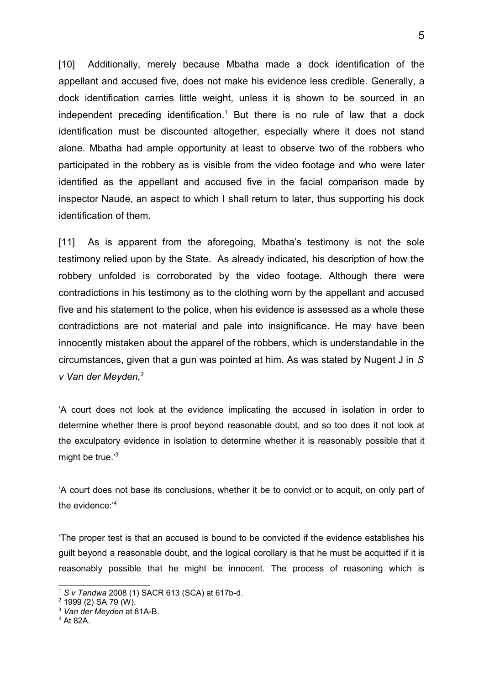[10] Additionally, merely because Mbatha made a dock identification of the appellant and accused five, does not make his evidence less credible. Generally, a dock identification carries little weight, unless it is shown to be sourced in an independent preceding identification.<sup>[1](#page-4-0)</sup> But there is no rule of law that a dock identification must be discounted altogether, especially where it does not stand alone. Mbatha had ample opportunity at least to observe two of the robbers who participated in the robbery as is visible from the video footage and who were later identified as the appellant and accused five in the facial comparison made by inspector Naude, an aspect to which I shall return to later, thus supporting his dock identification of them.

[11] As is apparent from the aforegoing, Mbatha's testimony is not the sole testimony relied upon by the State. As already indicated, his description of how the robbery unfolded is corroborated by the video footage. Although there were contradictions in his testimony as to the clothing worn by the appellant and accused five and his statement to the police, when his evidence is assessed as a whole these contradictions are not material and pale into insignificance. He may have been innocently mistaken about the apparel of the robbers, which is understandable in the circumstances, given that a gun was pointed at him. As was stated by Nugent J in *S v Van der Meyden,*[2](#page-4-1)

'A court does not look at the evidence implicating the accused in isolation in order to determine whether there is proof beyond reasonable doubt, and so too does it not look at the exculpatory evidence in isolation to determine whether it is reasonably possible that it might be true.'[3](#page-4-2)

'A court does not base its conclusions, whether it be to convict or to acquit, on only part of the evidence:'[4](#page-4-3)

'The proper test is that an accused is bound to be convicted if the evidence establishes his guilt beyond a reasonable doubt, and the logical corollary is that he must be acquitted if it is reasonably possible that he might be innocent. The process of reasoning which is

<span id="page-4-0"></span><sup>1</sup> *S v Tandwa* 2008 (1) SACR 613 (SCA) at 617b-d.

<span id="page-4-1"></span> $2$  1999 (2) SA 79 (W).

<span id="page-4-2"></span><sup>3</sup> *Van der Meyden* at 81A-B.

<span id="page-4-3"></span><sup>4</sup> At 82A.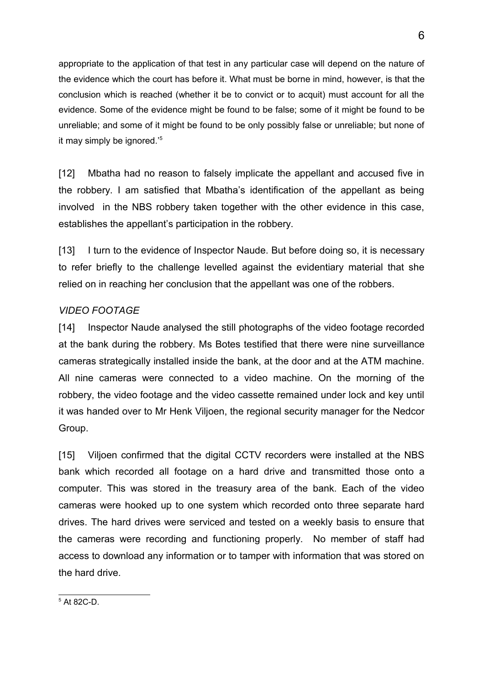appropriate to the application of that test in any particular case will depend on the nature of the evidence which the court has before it. What must be borne in mind, however, is that the conclusion which is reached (whether it be to convict or to acquit) must account for all the evidence. Some of the evidence might be found to be false; some of it might be found to be unreliable; and some of it might be found to be only possibly false or unreliable; but none of it may simply be ignored.<sup>'[5](#page-5-0)</sup>

[12] Mbatha had no reason to falsely implicate the appellant and accused five in the robbery. I am satisfied that Mbatha's identification of the appellant as being involved in the NBS robbery taken together with the other evidence in this case, establishes the appellant's participation in the robbery.

[13] I turn to the evidence of Inspector Naude. But before doing so, it is necessary to refer briefly to the challenge levelled against the evidentiary material that she relied on in reaching her conclusion that the appellant was one of the robbers.

## *VIDEO FOOTAGE*

[14] Inspector Naude analysed the still photographs of the video footage recorded at the bank during the robbery. Ms Botes testified that there were nine surveillance cameras strategically installed inside the bank, at the door and at the ATM machine. All nine cameras were connected to a video machine. On the morning of the robbery, the video footage and the video cassette remained under lock and key until it was handed over to Mr Henk Viljoen, the regional security manager for the Nedcor Group.

<span id="page-5-0"></span>[15] Viljoen confirmed that the digital CCTV recorders were installed at the NBS bank which recorded all footage on a hard drive and transmitted those onto a computer. This was stored in the treasury area of the bank. Each of the video cameras were hooked up to one system which recorded onto three separate hard drives. The hard drives were serviced and tested on a weekly basis to ensure that the cameras were recording and functioning properly. No member of staff had access to download any information or to tamper with information that was stored on the hard drive.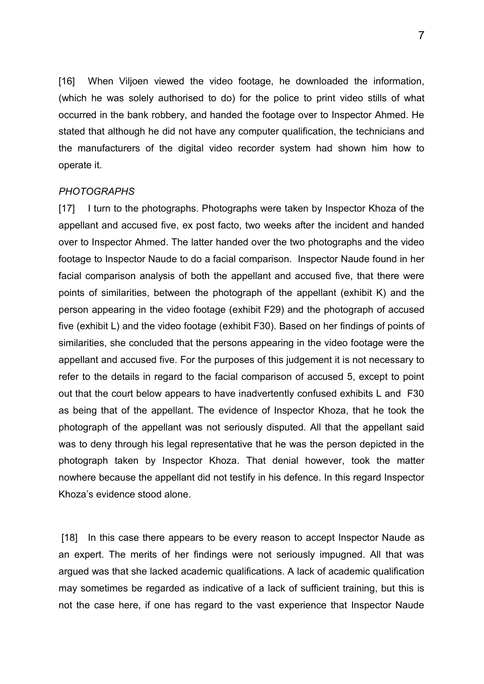[16] When Viljoen viewed the video footage, he downloaded the information, (which he was solely authorised to do) for the police to print video stills of what occurred in the bank robbery, and handed the footage over to Inspector Ahmed. He stated that although he did not have any computer qualification, the technicians and the manufacturers of the digital video recorder system had shown him how to operate it.

#### *PHOTOGRAPHS*

[17] I turn to the photographs. Photographs were taken by Inspector Khoza of the appellant and accused five, ex post facto, two weeks after the incident and handed over to Inspector Ahmed. The latter handed over the two photographs and the video footage to Inspector Naude to do a facial comparison. Inspector Naude found in her facial comparison analysis of both the appellant and accused five, that there were points of similarities, between the photograph of the appellant (exhibit K) and the person appearing in the video footage (exhibit F29) and the photograph of accused five (exhibit L) and the video footage (exhibit F30). Based on her findings of points of similarities, she concluded that the persons appearing in the video footage were the appellant and accused five. For the purposes of this judgement it is not necessary to refer to the details in regard to the facial comparison of accused 5, except to point out that the court below appears to have inadvertently confused exhibits L and F30 as being that of the appellant. The evidence of Inspector Khoza, that he took the photograph of the appellant was not seriously disputed. All that the appellant said was to deny through his legal representative that he was the person depicted in the photograph taken by Inspector Khoza. That denial however, took the matter nowhere because the appellant did not testify in his defence. In this regard Inspector Khoza's evidence stood alone.

[18] In this case there appears to be every reason to accept Inspector Naude as an expert. The merits of her findings were not seriously impugned. All that was argued was that she lacked academic qualifications. A lack of academic qualification may sometimes be regarded as indicative of a lack of sufficient training, but this is not the case here, if one has regard to the vast experience that Inspector Naude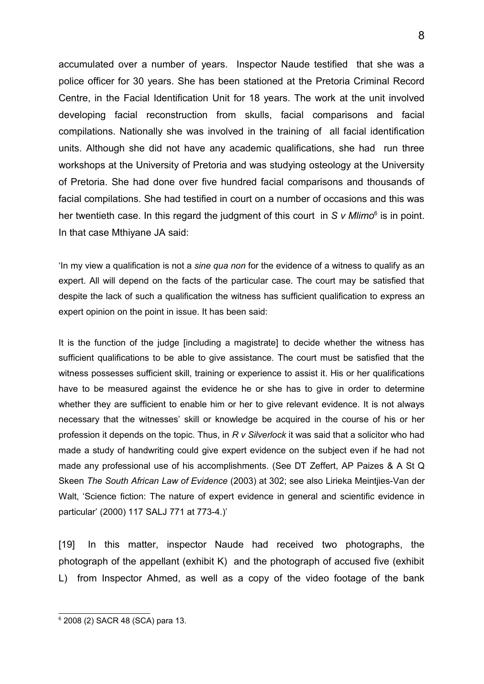accumulated over a number of years. Inspector Naude testified that she was a police officer for 30 years. She has been stationed at the Pretoria Criminal Record Centre, in the Facial Identification Unit for 18 years. The work at the unit involved developing facial reconstruction from skulls, facial comparisons and facial compilations. Nationally she was involved in the training of all facial identification units. Although she did not have any academic qualifications, she had run three workshops at the University of Pretoria and was studying osteology at the University of Pretoria. She had done over five hundred facial comparisons and thousands of facial compilations. She had testified in court on a number of occasions and this was her twentieth case. In this regard the judgment of this court in S v Mlimo<sup>[6](#page-7-0)</sup> is in point. In that case Mthiyane JA said:

'In my view a qualification is not a *sine qua non* for the evidence of a witness to qualify as an expert. All will depend on the facts of the particular case. The court may be satisfied that despite the lack of such a qualification the witness has sufficient qualification to express an expert opinion on the point in issue. It has been said:

It is the function of the judge [including a magistrate] to decide whether the witness has sufficient qualifications to be able to give assistance. The court must be satisfied that the witness possesses sufficient skill, training or experience to assist it. His or her qualifications have to be measured against the evidence he or she has to give in order to determine whether they are sufficient to enable him or her to give relevant evidence. It is not always necessary that the witnesses' skill or knowledge be acquired in the course of his or her profession it depends on the topic. Thus, in *R v Silverlock* it was said that a solicitor who had made a study of handwriting could give expert evidence on the subject even if he had not made any professional use of his accomplishments. (See DT Zeffert, AP Paizes & A St Q Skeen *The South African Law of Evidence* (2003) at 302; see also Lirieka Meintjies-Van der Walt, 'Science fiction: The nature of expert evidence in general and scientific evidence in particular' (2000) 117 SALJ 771 at 773-4.)'

[19] In this matter, inspector Naude had received two photographs, the photograph of the appellant (exhibit K) and the photograph of accused five (exhibit L) from Inspector Ahmed, as well as a copy of the video footage of the bank

<span id="page-7-0"></span><sup>6</sup> 2008 (2) SACR 48 (SCA) para 13.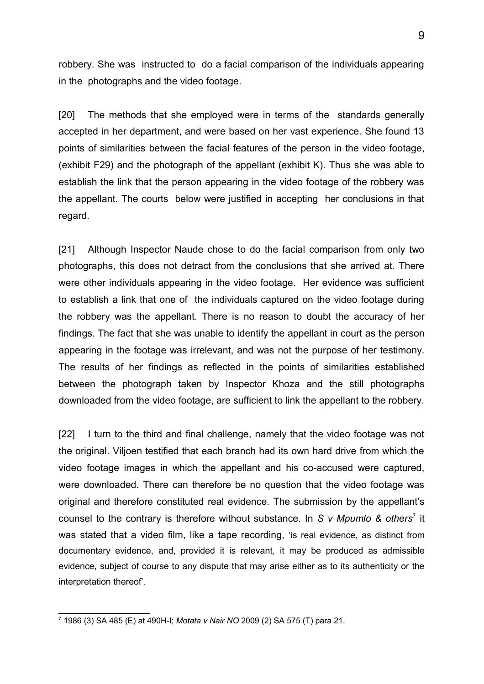robbery. She was instructed to do a facial comparison of the individuals appearing in the photographs and the video footage.

[20] The methods that she employed were in terms of the standards generally accepted in her department, and were based on her vast experience. She found 13 points of similarities between the facial features of the person in the video footage, (exhibit F29) and the photograph of the appellant (exhibit K). Thus she was able to establish the link that the person appearing in the video footage of the robbery was the appellant. The courts below were justified in accepting her conclusions in that regard.

[21] Although Inspector Naude chose to do the facial comparison from only two photographs, this does not detract from the conclusions that she arrived at. There were other individuals appearing in the video footage. Her evidence was sufficient to establish a link that one of the individuals captured on the video footage during the robbery was the appellant. There is no reason to doubt the accuracy of her findings. The fact that she was unable to identify the appellant in court as the person appearing in the footage was irrelevant, and was not the purpose of her testimony. The results of her findings as reflected in the points of similarities established between the photograph taken by Inspector Khoza and the still photographs downloaded from the video footage, are sufficient to link the appellant to the robbery.

[22] I turn to the third and final challenge, namely that the video footage was not the original. Viljoen testified that each branch had its own hard drive from which the video footage images in which the appellant and his co-accused were captured, were downloaded. There can therefore be no question that the video footage was original and therefore constituted real evidence. The submission by the appellant's counsel to the contrary is therefore without substance. In S v Mpumlo & others<sup>[7](#page-8-0)</sup> it was stated that a video film, like a tape recording, 'is real evidence, as distinct from documentary evidence, and, provided it is relevant, it may be produced as admissible evidence, subject of course to any dispute that may arise either as to its authenticity or the interpretation thereof'.

<span id="page-8-0"></span><sup>7</sup> 1986 (3) SA 485 (E) at 490H-I; *Motata v Nair NO* 2009 (2) SA 575 (T) para 21.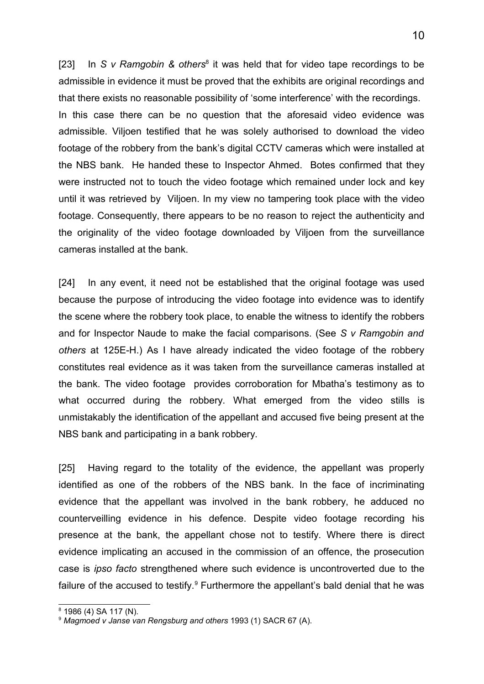[23] In *S v Ramgobin & others<sup>[8](#page-9-0)</sup>* it was held that for video tape recordings to be admissible in evidence it must be proved that the exhibits are original recordings and that there exists no reasonable possibility of 'some interference' with the recordings. In this case there can be no question that the aforesaid video evidence was admissible. Viljoen testified that he was solely authorised to download the video footage of the robbery from the bank's digital CCTV cameras which were installed at the NBS bank. He handed these to Inspector Ahmed. Botes confirmed that they were instructed not to touch the video footage which remained under lock and key until it was retrieved by Viljoen. In my view no tampering took place with the video footage. Consequently, there appears to be no reason to reject the authenticity and the originality of the video footage downloaded by Viljoen from the surveillance cameras installed at the bank.

[24] In any event, it need not be established that the original footage was used because the purpose of introducing the video footage into evidence was to identify the scene where the robbery took place, to enable the witness to identify the robbers and for Inspector Naude to make the facial comparisons. (See *S v Ramgobin and others* at 125E-H.) As I have already indicated the video footage of the robbery constitutes real evidence as it was taken from the surveillance cameras installed at the bank. The video footage provides corroboration for Mbatha's testimony as to what occurred during the robbery. What emerged from the video stills is unmistakably the identification of the appellant and accused five being present at the NBS bank and participating in a bank robbery.

[25] Having regard to the totality of the evidence, the appellant was properly identified as one of the robbers of the NBS bank. In the face of incriminating evidence that the appellant was involved in the bank robbery, he adduced no counterveilling evidence in his defence. Despite video footage recording his presence at the bank, the appellant chose not to testify. Where there is direct evidence implicating an accused in the commission of an offence, the prosecution case is *ipso facto* strengthened where such evidence is uncontroverted due to the failure of the accused to testify.<sup>[9](#page-9-1)</sup> Furthermore the appellant's bald denial that he was

<span id="page-9-0"></span><sup>8</sup> 1986 (4) SA 117 (N).

<span id="page-9-1"></span><sup>9</sup> *Magmoed v Janse van Rengsburg and others* 1993 (1) SACR 67 (A).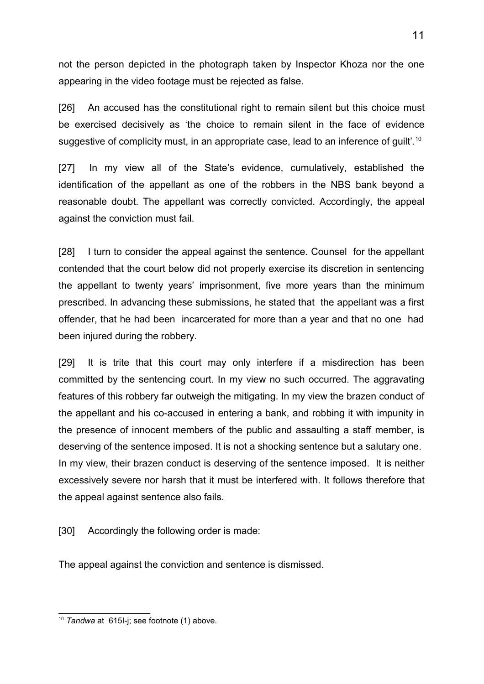not the person depicted in the photograph taken by Inspector Khoza nor the one appearing in the video footage must be rejected as false.

[26] An accused has the constitutional right to remain silent but this choice must be exercised decisively as 'the choice to remain silent in the face of evidence suggestive of complicity must, in an appropriate case, lead to an inference of guilt'.<sup>[10](#page-10-0)</sup>

[27] In my view all of the State's evidence, cumulatively, established the identification of the appellant as one of the robbers in the NBS bank beyond a reasonable doubt. The appellant was correctly convicted. Accordingly, the appeal against the conviction must fail.

[28] I turn to consider the appeal against the sentence. Counsel for the appellant contended that the court below did not properly exercise its discretion in sentencing the appellant to twenty years' imprisonment, five more years than the minimum prescribed. In advancing these submissions, he stated that the appellant was a first offender, that he had been incarcerated for more than a year and that no one had been injured during the robbery.

[29] It is trite that this court may only interfere if a misdirection has been committed by the sentencing court. In my view no such occurred. The aggravating features of this robbery far outweigh the mitigating. In my view the brazen conduct of the appellant and his co-accused in entering a bank, and robbing it with impunity in the presence of innocent members of the public and assaulting a staff member, is deserving of the sentence imposed. It is not a shocking sentence but a salutary one. In my view, their brazen conduct is deserving of the sentence imposed. It is neither excessively severe nor harsh that it must be interfered with. It follows therefore that the appeal against sentence also fails.

[30] Accordingly the following order is made:

The appeal against the conviction and sentence is dismissed.

<span id="page-10-0"></span><sup>10</sup> *Tandwa* at 615I-j; see footnote (1) above.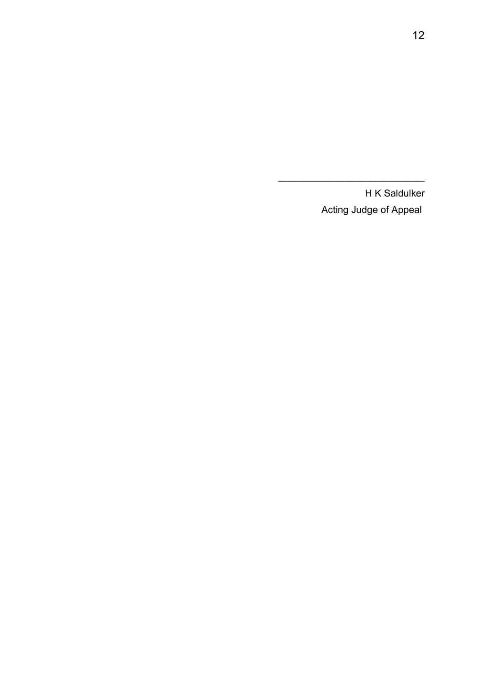H K Saldulker Acting Judge of Appeal

 $\mathcal{L}=\{1,2,3,4,5\}$